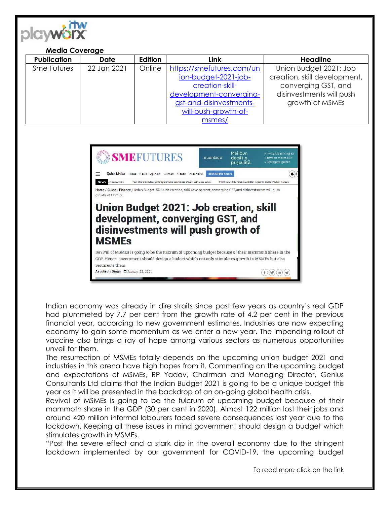

## **Media Coverage**

| <b>Publication</b> | <b>Date</b> | Edition | Link                      | <b>Headline</b>              |
|--------------------|-------------|---------|---------------------------|------------------------------|
| Sme Futures        | 22 Jan 2021 | Online  | https://smefutures.com/un | Union Budget 2021: Job       |
|                    |             |         | ion-budget-2021-job-      | creation, skill development, |
|                    |             |         | creation-skill-           | converging GST, and          |
|                    |             |         | development-converging-   | disinvestments will push     |
|                    |             |         | gst-and-disinvestments-   | growth of MSMEs              |
|                    |             |         | will-push-growth-of-      |                              |
|                    |             |         | msmes/                    |                              |



Indian economy was already in dire straits since past few years as country's real GDP had plummeted by 7.7 per cent from the growth rate of 4.2 per cent in the previous financial year, according to new government estimates. Industries are now expecting economy to gain some momentum as we enter a new year. The impending rollout of vaccine also brings a ray of hope among various sectors as numerous opportunities unveil for them.

The resurrection of MSMEs totally depends on the upcoming union budget 2021 and industries in this arena have high hopes from it. Commenting on the upcoming budget and expectations of MSMEs, RP Yadav, Chairman and Managing Director, Genius Consultants Ltd claims that the Indian Budget 2021 is going to be a unique budget this year as it will be presented in the backdrop of an on-going global health crisis.

Revival of MSMEs is going to be the fulcrum of upcoming budget because of their mammoth share in the GDP (30 per cent in 2020). Almost 122 million lost their jobs and around 420 million informal labourers faced severe consequences last year due to the lockdown. Keeping all these issues in mind government should design a budget which stimulates growth in MSMEs.

"Post the severe effect and a stark dip in the overall economy due to the stringent lockdown implemented by our government for COVID-19, the upcoming budget

To read more click on the link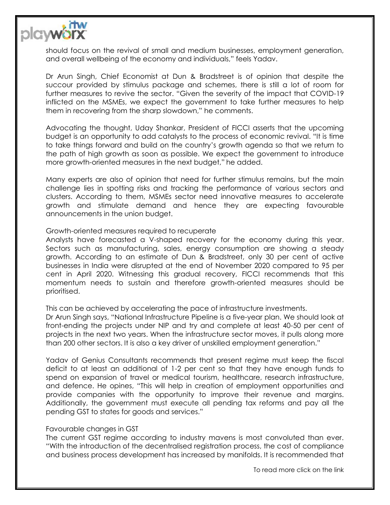

should focus on the revival of small and medium businesses, employment generation, and overall wellbeing of the economy and individuals," feels Yadav.

Dr Arun Singh, Chief Economist at Dun & Bradstreet is of opinion that despite the succour provided by stimulus package and schemes, there is still a lot of room for further measures to revive the sector. "Given the severity of the impact that COVID-19 inflicted on the MSMEs, we expect the government to take further measures to help them in recovering from the sharp slowdown," he comments.

Advocating the thought, Uday Shankar, President of FICCI asserts that the upcoming budget is an opportunity to add catalysts to the process of economic revival. "It is time to take things forward and build on the country's growth agenda so that we return to the path of high growth as soon as possible. We expect the government to introduce more growth-oriented measures in the next budget," he added.

Many experts are also of opinion that need for further stimulus remains, but the main challenge lies in spotting risks and tracking the performance of various sectors and clusters. According to them, MSMEs sector need innovative measures to accelerate growth and stimulate demand and hence they are expecting favourable announcements in the union budget.

## Growth-oriented measures required to recuperate

Analysts have forecasted a V-shaped recovery for the economy during this year. Sectors such as manufacturing, sales, energy consumption are showing a steady growth. According to an estimate of Dun & Bradstreet, only 30 per cent of active businesses in India were disrupted at the end of November 2020 compared to 95 per cent in April 2020. Witnessing this gradual recovery, FICCI recommends that this momentum needs to sustain and therefore growth-oriented measures should be prioritised.

This can be achieved by accelerating the pace of infrastructure investments.

Dr Arun Singh says, "National Infrastructure Pipeline is a five-year plan. We should look at front-ending the projects under NIP and try and complete at least 40-50 per cent of projects in the next two years. When the infrastructure sector moves, it pulls along more than 200 other sectors. It is also a key driver of unskilled employment generation."

Yadav of Genius Consultants recommends that present regime must keep the fiscal deficit to at least an additional of 1-2 per cent so that they have enough funds to spend on expansion of travel or medical tourism, healthcare, research infrastructure, and defence. He opines, "This will help in creation of employment opportunities and provide companies with the opportunity to improve their revenue and margins. Additionally, the government must execute all pending tax reforms and pay all the pending GST to states for goods and services."

## Favourable changes in GST

The current GST regime according to industry mavens is most convoluted than ever. "With the introduction of the decentralised registration process, the cost of compliance and business process development has increased by manifolds. It is recommended that

To read more click on the link